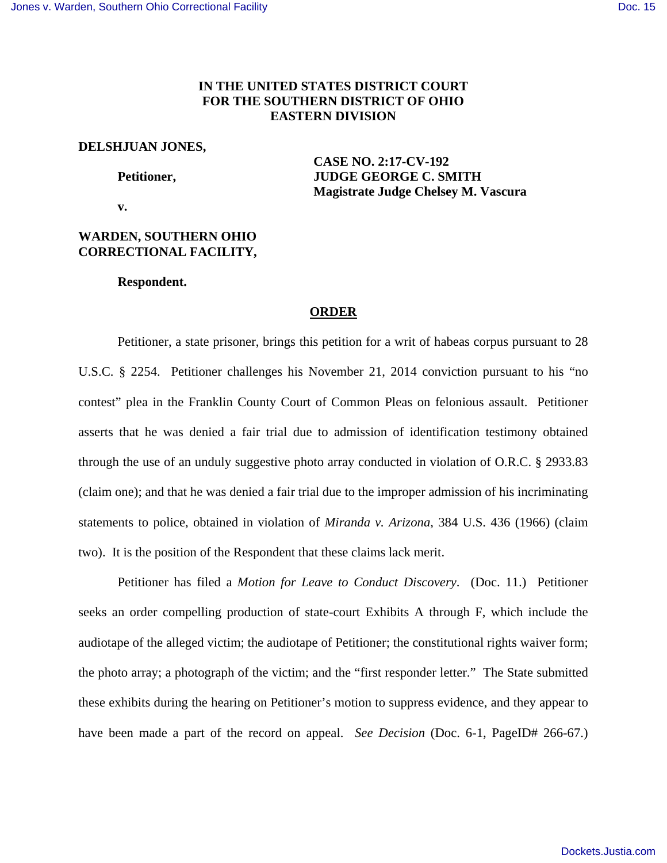# **IN THE UNITED STATES DISTRICT COURT FOR THE SOUTHERN DISTRICT OF OHIO EASTERN DIVISION**

### **DELSHJUAN JONES,**

 **CASE NO. 2:17-CV-192 Petitioner, JUDGE GEORGE C. SMITH Magistrate Judge Chelsey M. Vascura** 

 **v.** 

## **WARDEN, SOUTHERN OHIO CORRECTIONAL FACILITY,**

 **Respondent.** 

## **ORDER**

 Petitioner, a state prisoner, brings this petition for a writ of habeas corpus pursuant to 28 U.S.C. § 2254. Petitioner challenges his November 21, 2014 conviction pursuant to his "no contest" plea in the Franklin County Court of Common Pleas on felonious assault. Petitioner asserts that he was denied a fair trial due to admission of identification testimony obtained through the use of an unduly suggestive photo array conducted in violation of O.R.C. § 2933.83 (claim one); and that he was denied a fair trial due to the improper admission of his incriminating statements to police, obtained in violation of *Miranda v. Arizona*, 384 U.S. 436 (1966) (claim two). It is the position of the Respondent that these claims lack merit.

 Petitioner has filed a *Motion for Leave to Conduct Discovery*. (Doc. 11.) Petitioner seeks an order compelling production of state-court Exhibits A through F, which include the audiotape of the alleged victim; the audiotape of Petitioner; the constitutional rights waiver form; the photo array; a photograph of the victim; and the "first responder letter." The State submitted these exhibits during the hearing on Petitioner's motion to suppress evidence, and they appear to have been made a part of the record on appeal. *See Decision* (Doc. 6-1, PageID# 266-67.)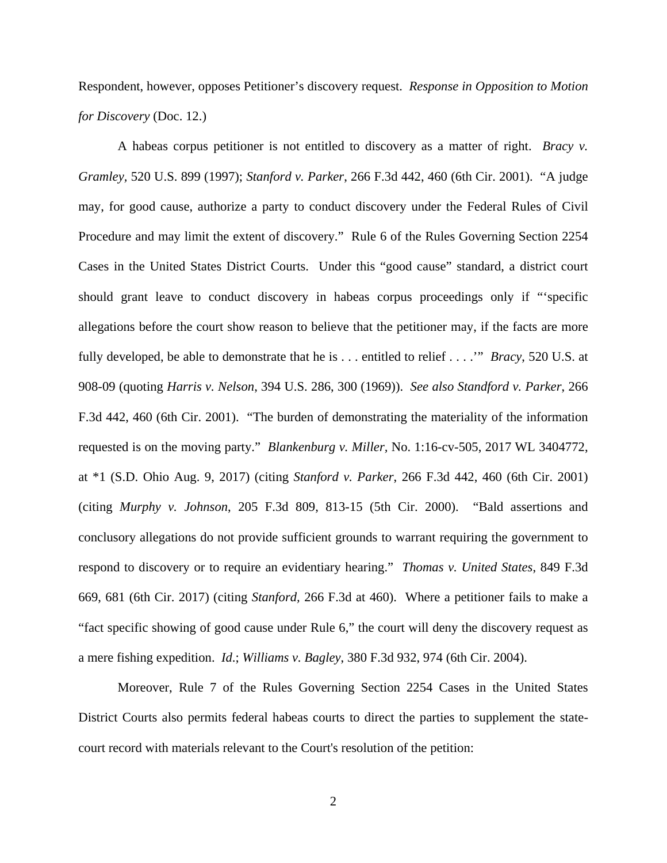Respondent, however, opposes Petitioner's discovery request. *Response in Opposition to Motion for Discovery* (Doc. 12.)

A habeas corpus petitioner is not entitled to discovery as a matter of right. *Bracy v. Gramley,* 520 U.S. 899 (1997); *Stanford v. Parker*, 266 F.3d 442, 460 (6th Cir. 2001). "A judge may, for good cause, authorize a party to conduct discovery under the Federal Rules of Civil Procedure and may limit the extent of discovery." Rule 6 of the Rules Governing Section 2254 Cases in the United States District Courts. Under this "good cause" standard, a district court should grant leave to conduct discovery in habeas corpus proceedings only if "'specific allegations before the court show reason to believe that the petitioner may, if the facts are more fully developed, be able to demonstrate that he is . . . entitled to relief . . . .'" *Bracy*, 520 U.S. at 908-09 (quoting *Harris v. Nelson*, 394 U.S. 286, 300 (1969)). *See also Standford v. Parker*, 266 F.3d 442, 460 (6th Cir. 2001). "The burden of demonstrating the materiality of the information requested is on the moving party." *Blankenburg v. Miller,* No. 1:16-cv-505, 2017 WL 3404772, at \*1 (S.D. Ohio Aug. 9, 2017) (citing *Stanford v. Parker*, 266 F.3d 442, 460 (6th Cir. 2001) (citing *Murphy v. Johnson*, 205 F.3d 809, 813-15 (5th Cir. 2000). "Bald assertions and conclusory allegations do not provide sufficient grounds to warrant requiring the government to respond to discovery or to require an evidentiary hearing." *Thomas v. United States*, 849 F.3d 669, 681 (6th Cir. 2017) (citing *Stanford,* 266 F.3d at 460). Where a petitioner fails to make a "fact specific showing of good cause under Rule 6," the court will deny the discovery request as a mere fishing expedition. *Id*.; *Williams v. Bagley*, 380 F.3d 932, 974 (6th Cir. 2004).

Moreover, Rule 7 of the Rules Governing Section 2254 Cases in the United States District Courts also permits federal habeas courts to direct the parties to supplement the statecourt record with materials relevant to the Court's resolution of the petition: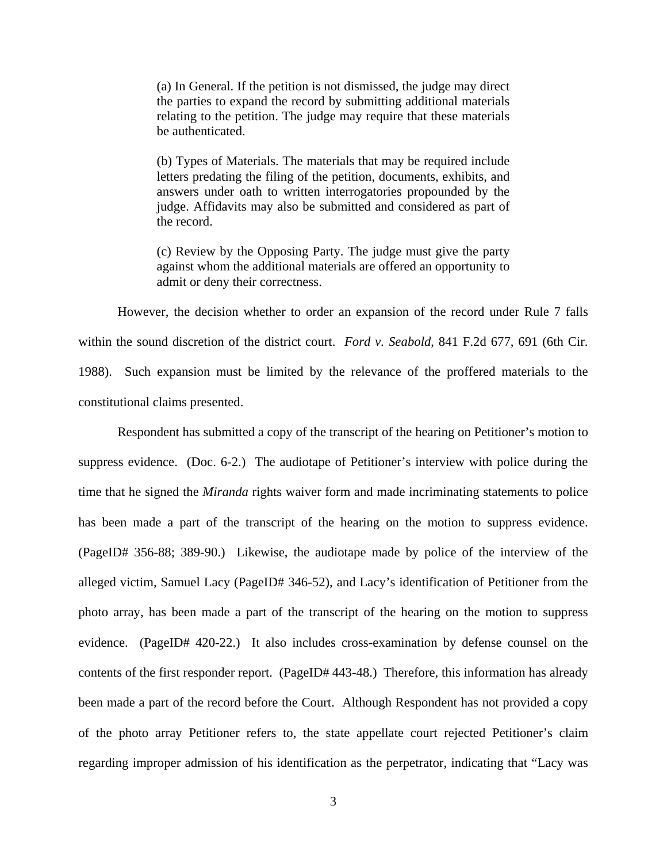(a) In General. If the petition is not dismissed, the judge may direct the parties to expand the record by submitting additional materials relating to the petition. The judge may require that these materials be authenticated.

(b) Types of Materials. The materials that may be required include letters predating the filing of the petition, documents, exhibits, and answers under oath to written interrogatories propounded by the judge. Affidavits may also be submitted and considered as part of the record.

(c) Review by the Opposing Party. The judge must give the party against whom the additional materials are offered an opportunity to admit or deny their correctness.

However, the decision whether to order an expansion of the record under Rule 7 falls within the sound discretion of the district court. *Ford v. Seabold*, 841 F.2d 677, 691 (6th Cir. 1988). Such expansion must be limited by the relevance of the proffered materials to the constitutional claims presented.

Respondent has submitted a copy of the transcript of the hearing on Petitioner's motion to suppress evidence. (Doc. 6-2.) The audiotape of Petitioner's interview with police during the time that he signed the *Miranda* rights waiver form and made incriminating statements to police has been made a part of the transcript of the hearing on the motion to suppress evidence. (PageID# 356-88; 389-90.) Likewise, the audiotape made by police of the interview of the alleged victim, Samuel Lacy (PageID# 346-52), and Lacy's identification of Petitioner from the photo array, has been made a part of the transcript of the hearing on the motion to suppress evidence. (PageID# 420-22.) It also includes cross-examination by defense counsel on the contents of the first responder report. (PageID# 443-48.) Therefore, this information has already been made a part of the record before the Court. Although Respondent has not provided a copy of the photo array Petitioner refers to, the state appellate court rejected Petitioner's claim regarding improper admission of his identification as the perpetrator, indicating that "Lacy was